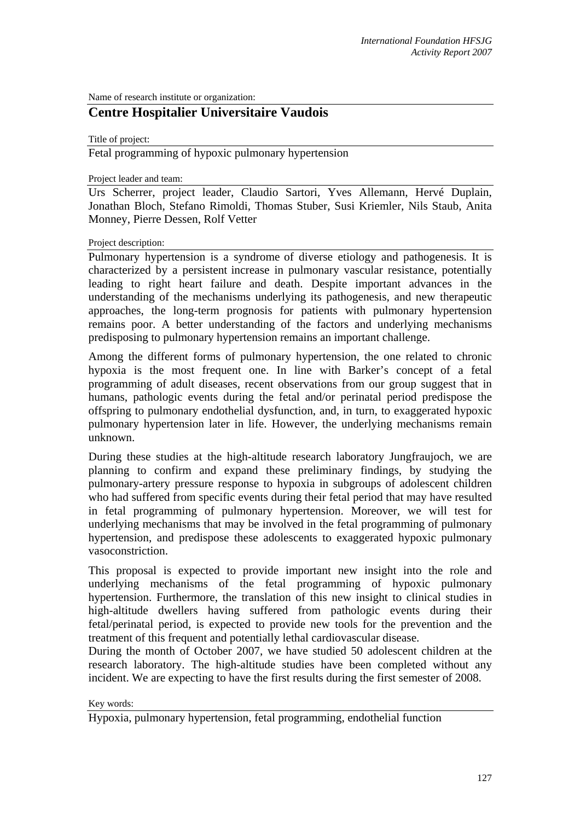Name of research institute or organization:

## **Centre Hospitalier Universitaire Vaudois**

Title of project:

Fetal programming of hypoxic pulmonary hypertension

Project leader and team:

Urs Scherrer, project leader, Claudio Sartori, Yves Allemann, Hervé Duplain, Jonathan Bloch, Stefano Rimoldi, Thomas Stuber, Susi Kriemler, Nils Staub, Anita Monney, Pierre Dessen, Rolf Vetter

## Project description:

Pulmonary hypertension is a syndrome of diverse etiology and pathogenesis. It is characterized by a persistent increase in pulmonary vascular resistance, potentially leading to right heart failure and death. Despite important advances in the understanding of the mechanisms underlying its pathogenesis, and new therapeutic approaches, the long-term prognosis for patients with pulmonary hypertension remains poor. A better understanding of the factors and underlying mechanisms predisposing to pulmonary hypertension remains an important challenge.

Among the different forms of pulmonary hypertension, the one related to chronic hypoxia is the most frequent one. In line with Barker's concept of a fetal programming of adult diseases, recent observations from our group suggest that in humans, pathologic events during the fetal and/or perinatal period predispose the offspring to pulmonary endothelial dysfunction, and, in turn, to exaggerated hypoxic pulmonary hypertension later in life. However, the underlying mechanisms remain unknown.

During these studies at the high-altitude research laboratory Jungfraujoch, we are planning to confirm and expand these preliminary findings, by studying the pulmonary-artery pressure response to hypoxia in subgroups of adolescent children who had suffered from specific events during their fetal period that may have resulted in fetal programming of pulmonary hypertension. Moreover, we will test for underlying mechanisms that may be involved in the fetal programming of pulmonary hypertension, and predispose these adolescents to exaggerated hypoxic pulmonary vasoconstriction.

This proposal is expected to provide important new insight into the role and underlying mechanisms of the fetal programming of hypoxic pulmonary hypertension. Furthermore, the translation of this new insight to clinical studies in high-altitude dwellers having suffered from pathologic events during their fetal/perinatal period, is expected to provide new tools for the prevention and the treatment of this frequent and potentially lethal cardiovascular disease.

During the month of October 2007, we have studied 50 adolescent children at the research laboratory. The high-altitude studies have been completed without any incident. We are expecting to have the first results during the first semester of 2008.

## Key words:

Hypoxia, pulmonary hypertension, fetal programming, endothelial function